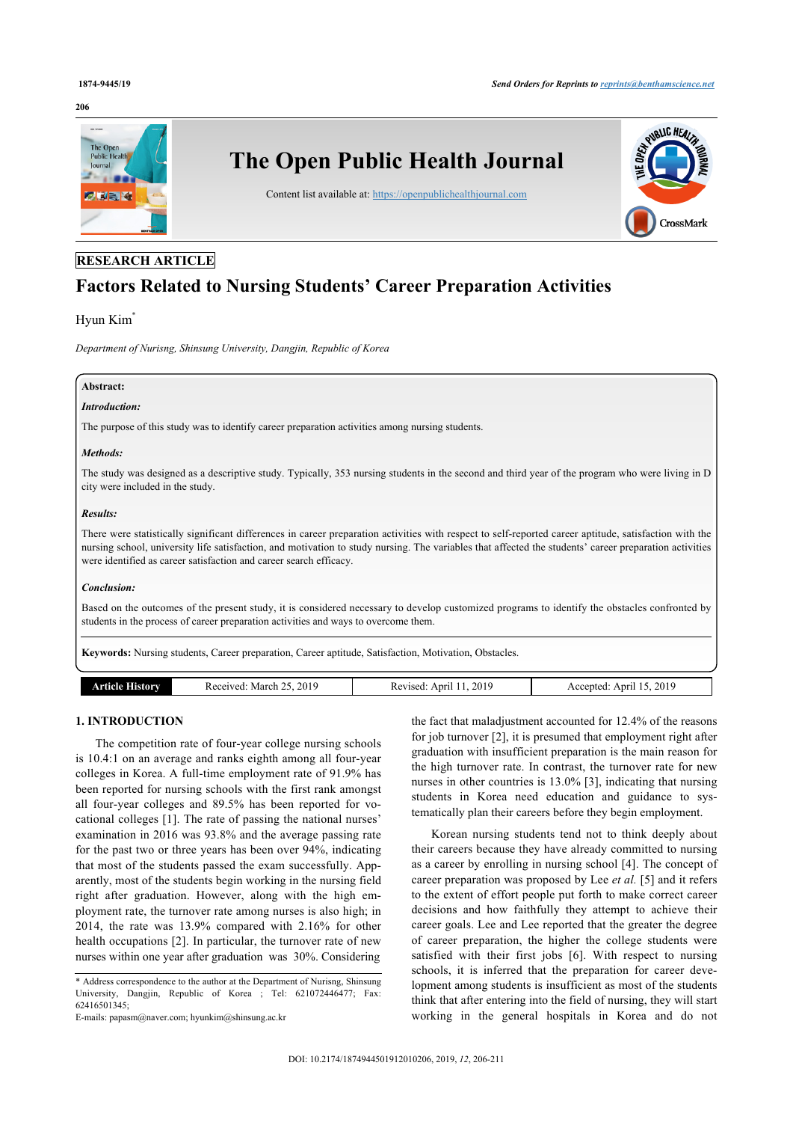#### **206**



# **RESEARCH ARTICLE**

# **Factors Related to Nursing Students' Career Preparation Activities**

# Hyun Kim

*Department of Nurisng, Shinsung University, Dangjin, Republic of Korea*

# **Abstract:**

# *Introduction:*

The purpose of this study was to identify career preparation activities among nursing students.

# *Methods:*

The study was designed as a descriptive study. Typically, 353 nursing students in the second and third year of the program who were living in D city were included in the study.

#### *Results:*

There were statistically significant differences in career preparation activities with respect to self-reported career aptitude, satisfaction with the nursing school, university life satisfaction, and motivation to study nursing. The variables that affected the students' career preparation activities were identified as career satisfaction and career search efficacy.

# *Conclusion:*

Based on the outcomes of the present study, it is considered necessary to develop customized programs to identify the obstacles confronted by students in the process of career preparation activities and ways to overcome them.

**Keywords:** Nursing students, Career preparation, Career aptitude, Satisfaction, Motivation, Obstacles.

| <b>ALCOHOL:</b> | 2019<br>March<br>eived<br>$\sim$<br>rea | 201<br>ADIT<br>85.<br>. | 2019<br>ADIT<br>.ccented<br>``<br>- -<br>___ |
|-----------------|-----------------------------------------|-------------------------|----------------------------------------------|

# **1. INTRODUCTION**

The competition rate of four-year college nursing schools is 10.4:1 on an average and ranks eighth among all four-year colleges in Korea. A full-time employment rate of 91.9% has been reported for nursing schools with the first rank amongst all four-year colleges and 89.5% has been reported for vocational colleges [[1\]](#page-4-0). The rate of passing the national nurses' examination in 2016 was 93.8% and the average passing rate for the past two or three years has been over 94%, indicating that most of the students passed the exam successfully. Apparently, most of the students begin working in the nursing field right after graduation. However, along with the high employment rate, the turnover rate among nurses is also high; in 2014, the rate was 13.9% compared with 2.16% for other health occupations [[2\]](#page-4-1). In particular, the turnover rate of new nurses within one year after graduation was 30%. Considering

E-mails: [papasm@naver.com](mailto:papasm@naver.com); [hyunkim@shinsung.ac.kr](mailto:hyunkim@shinsung.ac.kr)

the fact that maladjustment accounted for 12.4% of the reasons for job turnover [\[2\]](#page-4-1), it is presumed that employment right after graduation with insufficient preparation is the main reason for the high turnover rate. In contrast, the turnover rate for new nurses in other countries is 13.0% [[3\]](#page-4-2), indicating that nursing students in Korea need education and guidance to systematically plan their careers before they begin employment.

Korean nursing students tend not to think deeply about their careers because they have already committed to nursing as a career by enrolling in nursing school [[4](#page-4-3)]. The concept of career preparation was proposed by Lee *et al.* [[5\]](#page-4-4) and it refers to the extent of effort people put forth to make correct career decisions and how faithfully they attempt to achieve their career goals. Lee and Lee reported that the greater the degree of career preparation, the higher the college students were satisfied with their first jobs [\[6\]](#page-4-5). With respect to nursing schools, it is inferred that the preparation for career development among students is insufficient as most of the students think that after entering into the field of nursing, they will start working in the general hospitals in Korea and do not

<span id="page-0-0"></span><sup>\*</sup> Address correspondence to the author at the Department of Nurisng, Shinsung University, Dangjin, Republic of Korea ; Tel: 621072446477; Fax: 62416501345;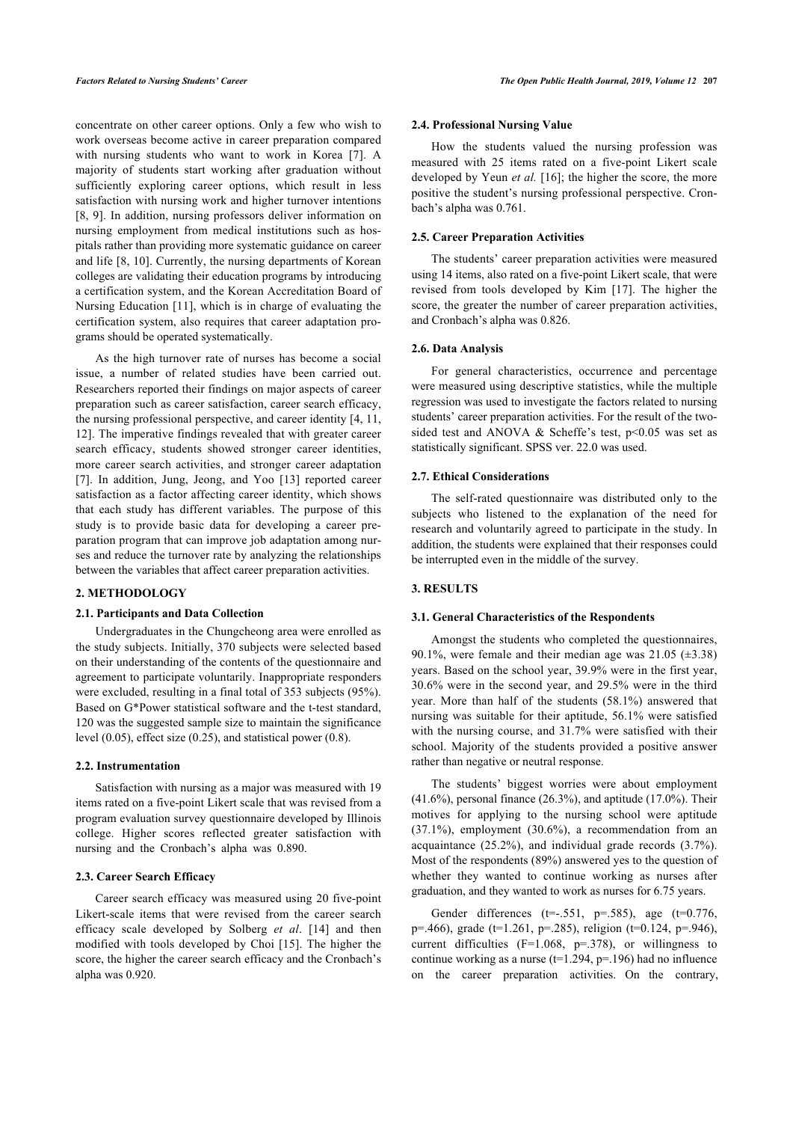concentrate on other career options. Only a few who wish to work overseas become active in career preparation compared with nursing students who want to work in Korea[[7\]](#page-4-6). A majority of students start working after graduation without sufficiently exploring career options, which result in less satisfaction with nursing work and higher turnover intentions [[8](#page-4-7), [9](#page-4-8)]. In addition, nursing professors deliver information on nursing employment from medical institutions such as hospitals rather than providing more systematic guidance on career and life [[8](#page-4-7), [10](#page-4-9)]. Currently, the nursing departments of Korean colleges are validating their education programs by introducing a certification system, and the Korean Accreditation Board of Nursing Education [[11](#page-4-10)], which is in charge of evaluating the certification system, also requires that career adaptation programs should be operated systematically.

As the high turnover rate of nurses has become a social issue, a number of related studies have been carried out. Researchers reported their findings on major aspects of career preparation such as career satisfaction, career search efficacy, the nursing professional perspective, and career identity [[4](#page-4-3), [11](#page-4-10), [12\]](#page-4-11). The imperative findings revealed that with greater career search efficacy, students showed stronger career identities, more career search activities, and stronger career adaptation [[7](#page-4-6)].In addition, Jung, Jeong, and Yoo [[13](#page-5-0)] reported career satisfaction as a factor affecting career identity, which shows that each study has different variables. The purpose of this study is to provide basic data for developing a career preparation program that can improve job adaptation among nurses and reduce the turnover rate by analyzing the relationships between the variables that affect career preparation activities.

# **2. METHODOLOGY**

# **2.1. Participants and Data Collection**

Undergraduates in the Chungcheong area were enrolled as the study subjects. Initially, 370 subjects were selected based on their understanding of the contents of the questionnaire and agreement to participate voluntarily. Inappropriate responders were excluded, resulting in a final total of 353 subjects (95%). Based on G\*Power statistical software and the t-test standard, 120 was the suggested sample size to maintain the significance level (0.05), effect size (0.25), and statistical power (0.8).

# **2.2. Instrumentation**

Satisfaction with nursing as a major was measured with 19 items rated on a five-point Likert scale that was revised from a program evaluation survey questionnaire developed by Illinois college. Higher scores reflected greater satisfaction with nursing and the Cronbach's alpha was 0.890.

#### **2.3. Career Search Efficacy**

<span id="page-1-0"></span>Career search efficacy was measured using 20 five-point Likert-scale items that were revised from the career search efficacy scale developed by Solberg *et al*.[[14](#page-5-1)] and then modified with tools developed by Choi [[15\]](#page-5-2). The higher the score, the higher the career search efficacy and the Cronbach's alpha was 0.920.

#### **2.4. Professional Nursing Value**

How the students valued the nursing profession was measured with 25 items rated on a five-point Likert scale developed by Yeun *et al.* [[16](#page-5-3)]; the higher the score, the more positive the student's nursing professional perspective. Cronbach's alpha was 0.761.

# **2.5. Career Preparation Activities**

The students' career preparation activities were measured using 14 items, also rated on a five-point Likert scale, that were revised from tools developed by Kim[[17\]](#page-5-4). The higher the score, the greater the number of career preparation activities, and Cronbach's alpha was 0.826.

# **2.6. Data Analysis**

For general characteristics, occurrence and percentage were measured using descriptive statistics, while the multiple regression was used to investigate the factors related to nursing students' career preparation activities. For the result of the twosided test and ANOVA & Scheffe's test,  $p<0.05$  was set as statistically significant. SPSS ver. 22.0 was used.

# **2.7. Ethical Considerations**

The self-rated questionnaire was distributed only to the subjects who listened to the explanation of the need for research and voluntarily agreed to participate in the study. In addition, the students were explained that their responses could be interrupted even in the middle of the survey.

# **3. RESULTS**

#### **3.1. General Characteristics of the Respondents**

Amongst the students who completed the questionnaires, 90.1%, were female and their median age was  $21.05$  ( $\pm 3.38$ ) years. Based on the school year, 39.9% were in the first year, 30.6% were in the second year, and 29.5% were in the third year. More than half of the students (58.1%) answered that nursing was suitable for their aptitude, 56.1% were satisfied with the nursing course, and 31.7% were satisfied with their school. Majority of the students provided a positive answer rather than negative or neutral response.

The students' biggest worries were about employment (41.6%), personal finance (26.3%), and aptitude (17.0%). Their motives for applying to the nursing school were aptitude (37.1%), employment (30.6%), a recommendation from an acquaintance (25.2%), and individual grade records (3.7%). Most of the respondents (89%) answered yes to the question of whether they wanted to continue working as nurses after graduation, and they wanted to work as nurses for 6.75 years.

Gender differences ( $t=-.551$ ,  $p=.585$ ), age ( $t=0.776$ , p=.466), grade (t=1.261, p=.285), religion (t=0.124, p=.946), current difficulties (F=1.068, p=.378), or willingness to continue working as a nurse ( $t=1.294$ ,  $p=196$ ) had no influence on the career preparation activities. On the contrary,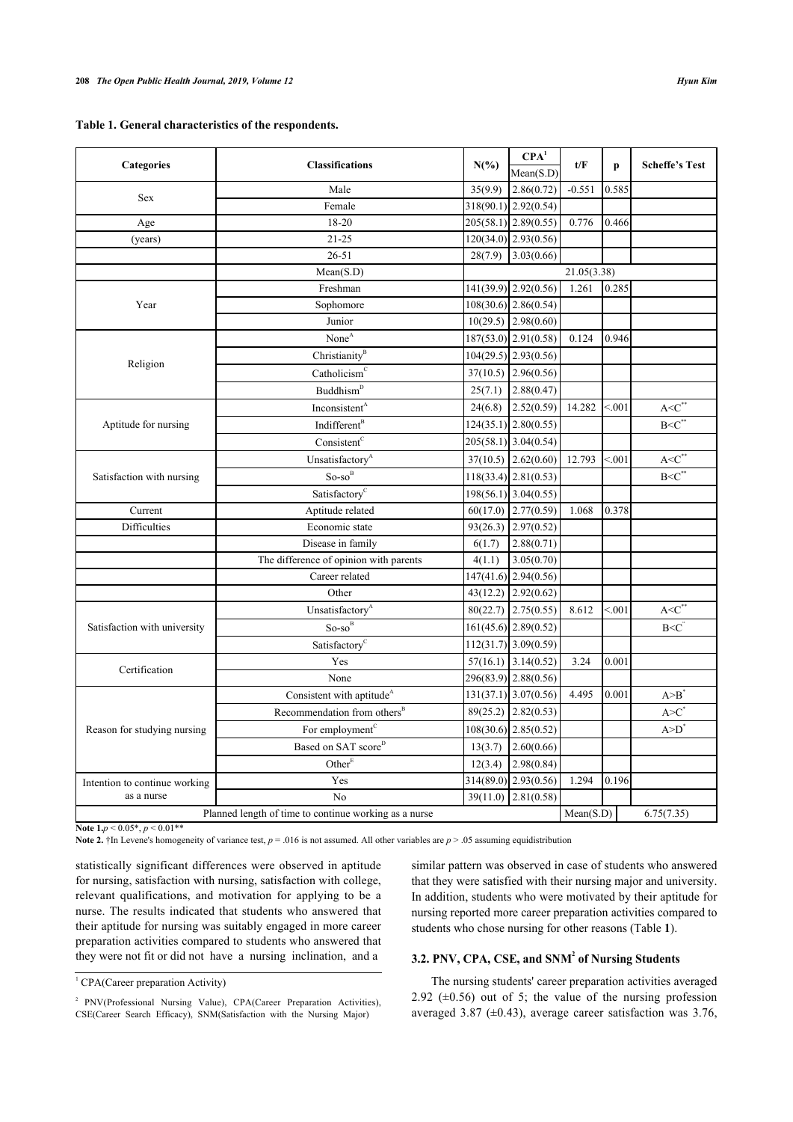| Table 1. General characteristics of the respondents. |  |  |  |  |  |  |  |  |  |  |
|------------------------------------------------------|--|--|--|--|--|--|--|--|--|--|
|------------------------------------------------------|--|--|--|--|--|--|--|--|--|--|

|                                                       | <b>Classifications</b>                  |          | CPA <sup>1</sup>       | t/F         |        | <b>Scheffe's Test</b>   |
|-------------------------------------------------------|-----------------------------------------|----------|------------------------|-------------|--------|-------------------------|
| Categories                                            |                                         | $N(\%)$  | Mean(S.D)              |             | p      |                         |
| Sex                                                   | Male                                    | 35(9.9)  | 2.86(0.72)             | $-0.551$    | 0.585  |                         |
|                                                       | Female                                  |          | $318(90.1)$ 2.92(0.54) |             |        |                         |
| Age                                                   | 18-20                                   |          | $205(58.1)$ 2.89(0.55) | 0.776       | 0.466  |                         |
| (years)                                               | $21 - 25$                               |          | $120(34.0)$ 2.93(0.56) |             |        |                         |
|                                                       | $26 - 51$                               | 28(7.9)  | 3.03(0.66)             |             |        |                         |
|                                                       | Mean(S.D)                               |          |                        | 21.05(3.38) |        |                         |
|                                                       | Freshman                                |          | $141(39.9)$ 2.92(0.56) | 1.261       | 0.285  |                         |
| Year                                                  | Sophomore                               |          | $108(30.6)$ 2.86(0.54) |             |        |                         |
|                                                       | Junior                                  |          | $10(29.5)$ 2.98(0.60)  |             |        |                         |
|                                                       | None <sup>A</sup>                       |          | $187(53.0)$ 2.91(0.58) | 0.124       | 0.946  |                         |
|                                                       | Christianity <sup>B</sup>               |          | $104(29.5)$ 2.93(0.56) |             |        |                         |
| Religion                                              | Catholicism                             |          | $37(10.5)$ 2.96(0.56)  |             |        |                         |
|                                                       | Buddhism <sup>D</sup>                   | 25(7.1)  | 2.88(0.47)             |             |        |                         |
|                                                       | Inconsistent <sup>A</sup>               | 24(6.8)  | 2.52(0.59)             | 14.282      | < 0.01 | $A < \overline{C}^{**}$ |
| Aptitude for nursing                                  | Indifferent <sup>B</sup>                |          | $124(35.1)$ 2.80(0.55) |             |        | $B < C^*$               |
|                                                       | Consistent <sup>c</sup>                 |          | 205(58.1) 3.04(0.54)   |             |        |                         |
|                                                       | Unsatisfactory <sup>A</sup>             |          | $37(10.5)$ 2.62(0.60)  | 12.793      | < 0.01 | $A < \overline{C}^*$    |
| Satisfaction with nursing                             | $So$ -so <sup>B</sup>                   |          | $118(33.4)$ 2.81(0.53) |             |        | $B < C^*$               |
|                                                       | Satisfactory <sup>c</sup>               |          | $198(56.1)$ 3.04(0.55) |             |        |                         |
| Current                                               | Aptitude related                        |          | $60(17.0)$ 2.77(0.59)  | 1.068       | 0.378  |                         |
| Difficulties                                          | Economic state                          |          | $93(26.3)$ 2.97(0.52)  |             |        |                         |
|                                                       | Disease in family                       | 6(1.7)   | 2.88(0.71)             |             |        |                         |
|                                                       | The difference of opinion with parents  | 4(1.1)   | 3.05(0.70)             |             |        |                         |
|                                                       | Career related                          |          | 147(41.6) 2.94(0.56)   |             |        |                         |
|                                                       | Other                                   |          | $43(12.2)$ 2.92(0.62)  |             |        |                         |
|                                                       | Unsatisfactory <sup>A</sup>             |          | $80(22.7)$ 2.75(0.55)  | 8.612       | < 0.01 | $A < C^*$               |
| Satisfaction with university                          | $So-so^B$                               |          | $161(45.6)$ 2.89(0.52) |             |        | B < C                   |
|                                                       | Satisfactory <sup>c</sup>               |          | $112(31.7)$ 3.09(0.59) |             |        |                         |
|                                                       | Yes                                     | 57(16.1) | 3.14(0.52)             | 3.24        | 0.001  |                         |
| Certification                                         | None                                    |          | 296(83.9) 2.88(0.56)   |             |        |                         |
|                                                       | Consistent with aptitude <sup>A</sup>   |          | $131(37.1)$ 3.07(0.56) | 4.495       | 0.001  | A > B'                  |
|                                                       | Recommendation from others <sup>B</sup> |          | $89(25.2)$ 2.82(0.53)  |             |        | A > C                   |
| Reason for studying nursing                           | For employment <sup>c</sup>             |          | $108(30.6)$ 2.85(0.52) |             |        | $A>D^*$                 |
|                                                       | Based on SAT score <sup>D</sup>         | 13(3.7)  | 2.60(0.66)             |             |        |                         |
|                                                       | Other <sup>E</sup>                      | 12(3.4)  | 2.98(0.84)             |             |        |                         |
| Intention to continue working                         | Yes                                     |          | $314(89.0)$ 2.93(0.56) | 1.294       | 0.196  |                         |
| as a nurse                                            | No                                      | 39(11.0) | 2.81(0.58)             |             |        |                         |
| Planned length of time to continue working as a nurse |                                         |          |                        |             |        | 6.75(7.35)              |

**Note 1.***p* < 0.05\*, *p* < 0.01\*\*

**Note 2.** †In Levene's homogeneity of variance test,  $p = .016$  is not assumed. All other variables are  $p > .05$  assuming equidistribution

statistically significant differences were observed in aptitude for nursing, satisfaction with nursing, satisfaction with college, relevant qualifications, and motivation for applying to be a nurse. The results indicated that students who answered that their aptitude for nursing was suitably engaged in more career preparation activities compared to students who answered that they were not fit or did not have a nursing inclination, and a

similar pattern was observed in case of students who answered that they were satisfied with their nursing major and university. In addition, students who were motivated by their aptitude for nursing reported more career preparation activities compared to students who chose nursing for other reasons (Table **[1](#page-1-0)**).

# **3.2. PNV, CPA, CSE, and SNM<sup>2</sup> of Nursing Students**

The nursing students' career preparation activities averaged 2.92  $(\pm 0.56)$  out of 5; the value of the nursing profession averaged 3.87 (±0.43), average career satisfaction was 3.76,

<sup>&</sup>lt;sup>1</sup> CPA(Career preparation Activity)

<sup>&</sup>lt;sup>2</sup> PNV(Professional Nursing Value), CPA(Career Preparation Activities), CSE(Career Search Efficacy), SNM(Satisfaction with the Nursing Major)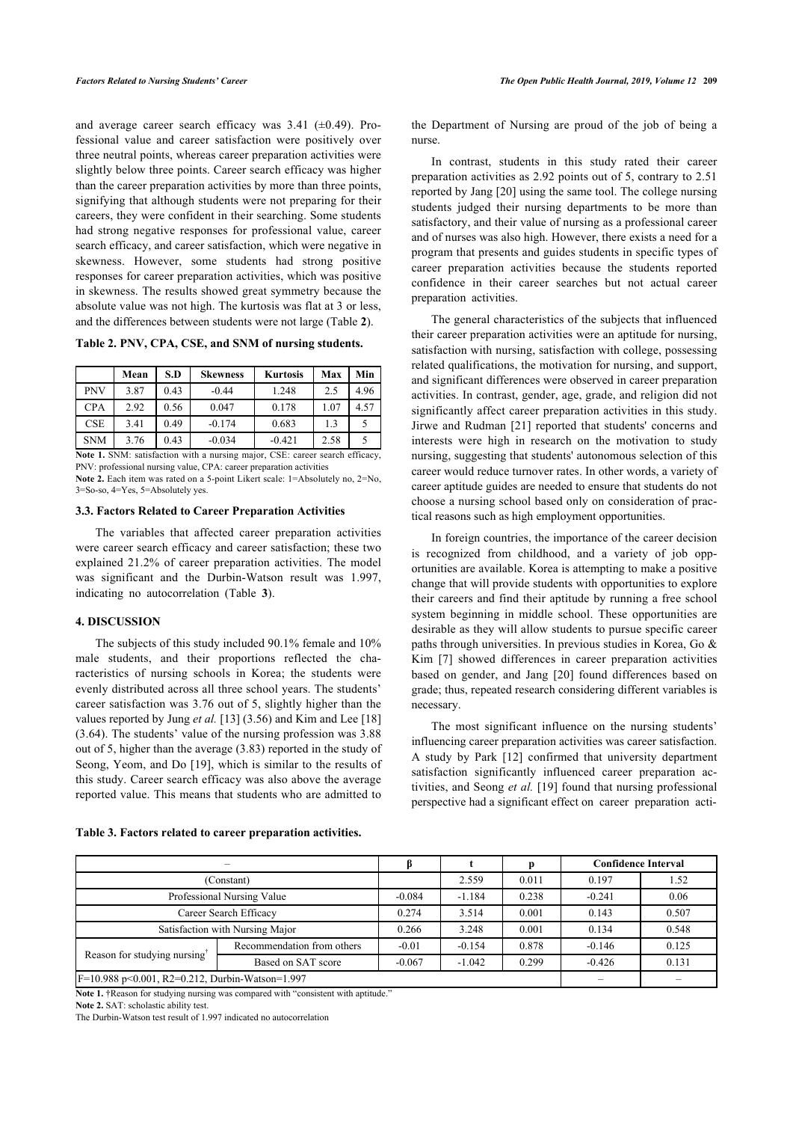and average career search efficacy was 3.41 (±0.49). Professional value and career satisfaction were positively over three neutral points, whereas career preparation activities were slightly below three points. Career search efficacy was higher than the career preparation activities by more than three points, signifying that although students were not preparing for their careers, they were confident in their searching. Some students had strong negative responses for professional value, career search efficacy, and career satisfaction, which were negative in skewness. However, some students had strong positive responses for career preparation activities, which was positive in skewness. The results showed great symmetry because the absolute value was not high. The kurtosis was flat at 3 or less, and the differences between students were not large (Table **[2](#page-3-0)**).

<span id="page-3-0"></span>**Table 2. PNV, CPA, CSE, and SNM of nursing students.**

|            | Mean | S.D  | <b>Skewness</b> | <b>Kurtosis</b> | Max  | Min  |
|------------|------|------|-----------------|-----------------|------|------|
| <b>PNV</b> | 3.87 | 0.43 | $-0.44$         | 1.248           | 2.5  | 4.96 |
| <b>CPA</b> | 2.92 | 0.56 | 0.047           | 0.178           | 1.07 | 4.57 |
| <b>CSE</b> | 3.41 | 0.49 | $-0.174$        | 0.683           | 1.3  |      |
| <b>SNM</b> | 3.76 | 0.43 | $-0.034$        | $-0.421$        | 2.58 |      |

**Note 1.** SNM: satisfaction with a nursing major, CSE: career search efficacy, PNV: professional nursing value, CPA: career preparation activities **Note 2.** Each item was rated on a 5-point Likert scale: 1=Absolutely no, 2=No, 3=So-so, 4=Yes, 5=Absolutely yes.

# **3.3. Factors Related to Career Preparation Activities**

The variables that affected career preparation activities were career search efficacy and career satisfaction; these two explained 21.2% of career preparation activities. The model was significant and the Durbin-Watson result was 1.997, indicating no autocorrelation (Table**3**).

# **4. DISCUSSION**

The subjects of this study included 90.1% female and 10% male students, and their proportions reflected the characteristics of nursing schools in Korea; the students were evenly distributed across all three school years. The students' career satisfaction was 3.76 out of 5, slightly higher than the values reported by Jung *et al.* [\[13](#page-5-0)] (3.56) and Kim and Lee [\[18](#page-5-0)] (3.64). The students' value of the nursing profession was 3.88 out of 5, higher than the average (3.83) reported in the study of Seong, Yeom, and Do [\[19](#page-5-1)], which is similar to the results of this study. Career search efficacy was also above the average reported value. This means that students who are admitted to

#### <span id="page-3-1"></span>**Table 3. Factors related to career preparation activities.**

the Department of Nursing are proud of the job of being a nurse.

In contrast, students in this study rated their career preparation activities as 2.92 points out of 5, contrary to 2.51 reported by Jang [[20\]](#page-5-5) using the same tool. The college nursing students judged their nursing departments to be more than satisfactory, and their value of nursing as a professional career and of nurses was also high. However, there exists a need for a program that presents and guides students in specific types of career preparation activities because the students reported confidence in their career searches but not actual career preparation activities.

The general characteristics of the subjects that influenced their career preparation activities were an aptitude for nursing, satisfaction with nursing, satisfaction with college, possessing related qualifications, the motivation for nursing, and support, and significant differences were observed in career preparation activities. In contrast, gender, age, grade, and religion did not significantly affect career preparation activities in this study. Jirwe and Rudman [[21\]](#page-5-6) reported that students' concerns and interests were high in research on the motivation to study nursing, suggesting that students' autonomous selection of this career would reduce turnover rates. In other words, a variety of career aptitude guides are needed to ensure that students do not choose a nursing school based only on consideration of practical reasons such as high employment opportunities.

In foreign countries, the importance of the career decision is recognized from childhood, and a variety of job opportunities are available. Korea is attempting to make a positive change that will provide students with opportunities to explore their careers and find their aptitude by running a free school system beginning in middle school. These opportunities are desirable as they will allow students to pursue specific career paths through universities. In previous studies in Korea, Go & Kim [\[7\]](#page-4-6) showed differences in career preparation activities based on gender, and Jang[[20\]](#page-5-5) found differences based on grade; thus, repeated research considering different variables is necessary.

The most significant influence on the nursing students' influencing career preparation activities was career satisfaction. A study by Park [\[12\]](#page-4-11) confirmed that university department satisfaction significantly influenced career preparation activities, and Seong *et al.* [[19\]](#page-5-1) found that nursing professional perspective had a significant effect on career preparation acti-

|                                                             |                            |          |          | <b>Confidence Interval</b> |          |       |
|-------------------------------------------------------------|----------------------------|----------|----------|----------------------------|----------|-------|
| (Constant)                                                  |                            | 2.559    | 0.011    | 0.197                      | 1.52     |       |
| Professional Nursing Value                                  | $-0.084$                   | $-1.184$ | 0.238    | $-0.241$                   | 0.06     |       |
| Career Search Efficacy                                      | 0.274                      | 3.514    | 0.001    | 0.143                      | 0.507    |       |
| Satisfaction with Nursing Major                             |                            | 0.266    | 3.248    | 0.001                      | 0.134    | 0.548 |
|                                                             | Recommendation from others | $-0.01$  | $-0.154$ | 0.878                      | $-0.146$ | 0.125 |
| Reason for studying nursing                                 | Based on SAT score         | $-0.067$ | $-1.042$ | 0.299                      | $-0.426$ | 0.131 |
| $F=10.988 \text{ p}$ < 0.001, R2=0.212, Durbin-Watson=1.997 |                            |          |          |                            |          |       |

**Note 1.** †Reason for studying nursing was compared with "consistent with aptitude."

**Note 2.** SAT: scholastic ability test.

The Durbin-Watson test result of 1.997 indicated no autocorrelation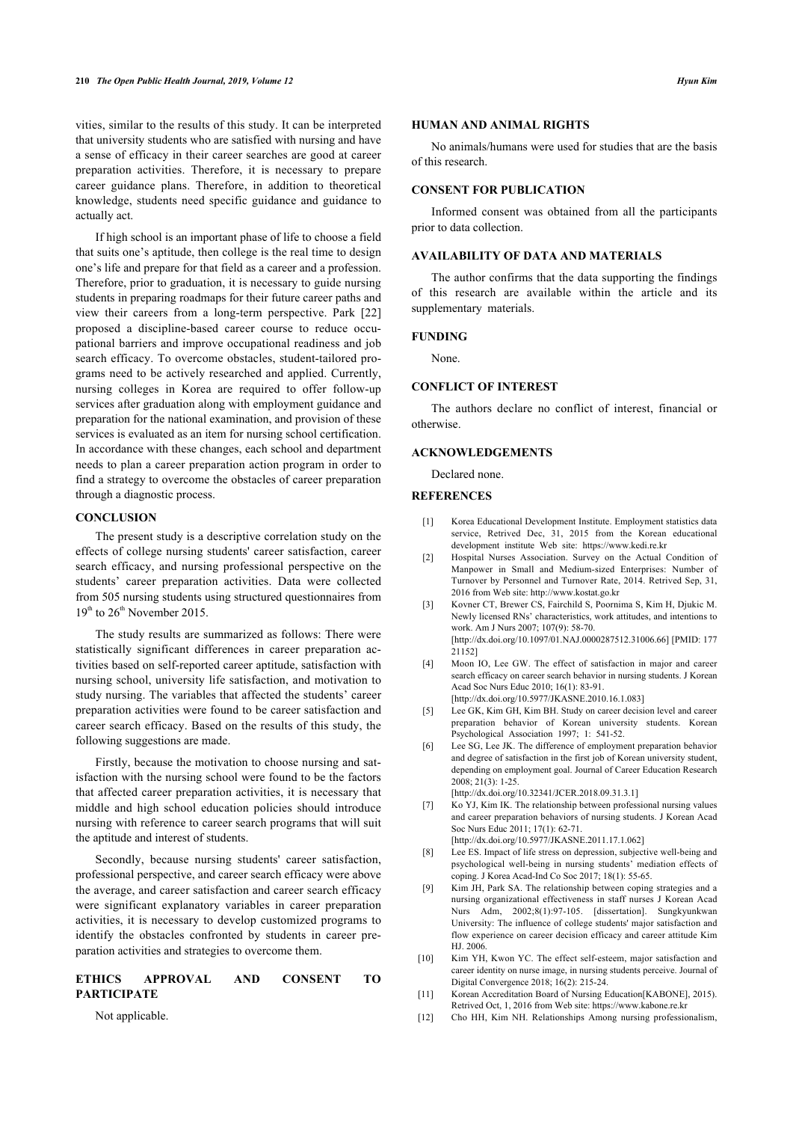vities, similar to the results of this study. It can be interpreted that university students who are satisfied with nursing and have a sense of efficacy in their career searches are good at career preparation activities. Therefore, it is necessary to prepare career guidance plans. Therefore, in addition to theoretical knowledge, students need specific guidance and guidance to actually act.

If high school is an important phase of life to choose a field that suits one's aptitude, then college is the real time to design one's life and prepare for that field as a career and a profession. Therefore, prior to graduation, it is necessary to guide nursing students in preparing roadmaps for their future career paths and view their careers from a long-term perspective. Park[[22](#page-5-7)] proposed a discipline-based career course to reduce occupational barriers and improve occupational readiness and job search efficacy. To overcome obstacles, student-tailored programs need to be actively researched and applied. Currently, nursing colleges in Korea are required to offer follow-up services after graduation along with employment guidance and preparation for the national examination, and provision of these services is evaluated as an item for nursing school certification. In accordance with these changes, each school and department needs to plan a career preparation action program in order to find a strategy to overcome the obstacles of career preparation through a diagnostic process.

# <span id="page-4-1"></span><span id="page-4-0"></span>**CONCLUSION**

<span id="page-4-2"></span>The present study is a descriptive correlation study on the effects of college nursing students' career satisfaction, career search efficacy, and nursing professional perspective on the students' career preparation activities. Data were collected from 505 nursing students using structured questionnaires from  $19<sup>th</sup>$  to  $26<sup>th</sup>$  November 2015.

<span id="page-4-4"></span><span id="page-4-3"></span>The study results are summarized as follows: There were statistically significant differences in career preparation activities based on self-reported career aptitude, satisfaction with nursing school, university life satisfaction, and motivation to study nursing. The variables that affected the students' career preparation activities were found to be career satisfaction and career search efficacy. Based on the results of this study, the following suggestions are made.

<span id="page-4-6"></span><span id="page-4-5"></span>Firstly, because the motivation to choose nursing and satisfaction with the nursing school were found to be the factors that affected career preparation activities, it is necessary that middle and high school education policies should introduce nursing with reference to career search programs that will suit the aptitude and interest of students.

<span id="page-4-8"></span><span id="page-4-7"></span>Secondly, because nursing students' career satisfaction, professional perspective, and career search efficacy were above the average, and career satisfaction and career search efficacy were significant explanatory variables in career preparation activities, it is necessary to develop customized programs to identify the obstacles confronted by students in career preparation activities and strategies to overcome them.

# <span id="page-4-11"></span><span id="page-4-10"></span><span id="page-4-9"></span>**ETHICS APPROVAL AND CONSENT TO PARTICIPATE**

Not applicable.

# **HUMAN AND ANIMAL RIGHTS**

No animals/humans were used for studies that are the basis of this research.

# **CONSENT FOR PUBLICATION**

Informed consent was obtained from all the participants prior to data collection.

# **AVAILABILITY OF DATA AND MATERIALS**

The author confirms that the data supporting the findings of this research are available within the article and its supplementary materials.

#### **FUNDING**

None.

# **CONFLICT OF INTEREST**

The authors declare no conflict of interest, financial or otherwise.

# **ACKNOWLEDGEMENTS**

Declared none.

#### **REFERENCES**

- [1] Korea Educational Development Institute. Employment statistics data service, Retrived Dec, 31, 2015 from the Korean educational development institute Web site:<https://www.kedi.re.kr>
- [2] Hospital Nurses Association. Survey on the Actual Condition of Manpower in Small and Medium-sized Enterprises: Number of Turnover by Personnel and Turnover Rate, 2014. Retrived Sep, 31, 2016 from Web site:<http://www.kostat.go.kr>
- [3] Kovner CT, Brewer CS, Fairchild S, Poornima S, Kim H, Djukic M. Newly licensed RNs' characteristics, work attitudes, and intentions to work. Am J Nurs 2007; 107(9): 58-70. [\[http://dx.doi.org/10.1097/01.NAJ.0000287512.31006.66](http://dx.doi.org/10.1097/01.NAJ.0000287512.31006.66)] [PMID: [177](http://www.ncbi.nlm.nih.gov/pubmed/177%2021152) [21152](http://www.ncbi.nlm.nih.gov/pubmed/177%2021152)]
- [4] Moon IO, Lee GW. The effect of satisfaction in major and career search efficacy on career search behavior in nursing students. J Korean Acad Soc Nurs Educ 2010; 16(1): 83-91.

[\[http://dx.doi.org/10.5977/JKASNE.2010.16.1.083\]](http://dx.doi.org/10.5977/JKASNE.2010.16.1.083)

- [5] Lee GK, Kim GH, Kim BH. Study on career decision level and career preparation behavior of Korean university students. Korean Psychological Association 1997; 1: 541-52.
- [6] Lee SG, Lee JK. The difference of employment preparation behavior and degree of satisfaction in the first job of Korean university student, depending on employment goal. Journal of Career Education Research 2008; 21(3): 1-25.

[\[http://dx.doi.org/10.32341/JCER.2018.09.31.3.1](http://dx.doi.org/10.32341/JCER.2018.09.31.3.1)]

[7] Ko YJ, Kim IK. The relationship between professional nursing values and career preparation behaviors of nursing students. J Korean Acad Soc Nurs Educ 2011; 17(1): 62-71.

[\[http://dx.doi.org/10.5977/JKASNE.2011.17.1.062\]](http://dx.doi.org/10.5977/JKASNE.2011.17.1.062)

- [8] Lee ES. Impact of life stress on depression, subjective well-being and psychological well-being in nursing students' mediation effects of coping. J Korea Acad-Ind Co Soc 2017; 18(1): 55-65.
- [9] Kim JH, Park SA. The relationship between coping strategies and a nursing organizational effectiveness in staff nurses J Korean Acad Nurs Adm, 2002;8(1):97-105. [dissertation]. Sungkyunkwan University: The influence of college students' major satisfaction and flow experience on career decision efficacy and career attitude Kim HJ. 2006.
- [10] Kim YH, Kwon YC. The effect self-esteem, major satisfaction and career identity on nurse image, in nursing students perceive. Journal of Digital Convergence 2018; 16(2): 215-24.
- [11] Korean Accreditation Board of Nursing Education[KABONE], 2015). Retrived Oct, 1, 2016 from Web site: <https://www.kabone.re.kr>
- [12] Cho HH, Kim NH. Relationships Among nursing professionalism,